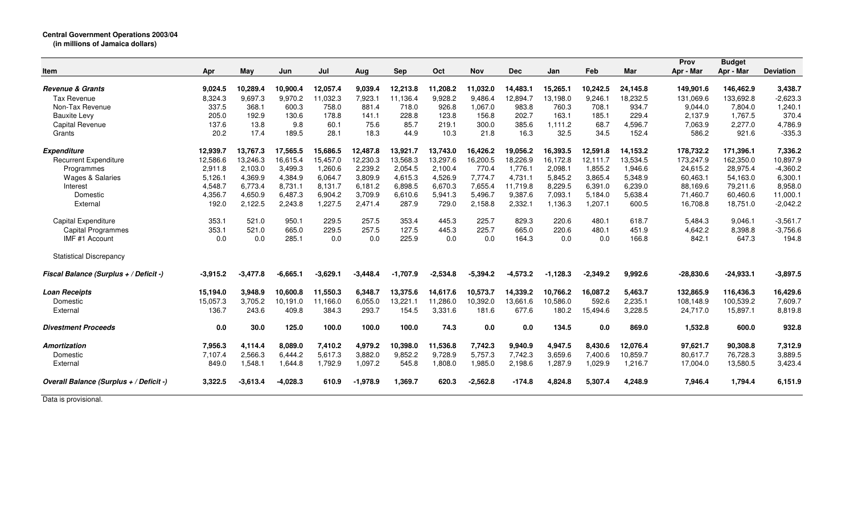|                                                   |                    |                     |                     |                      |                    |                      |                     |                     |                      |                      |                     |                      | Prov                   | <b>Budget</b>          |                       |
|---------------------------------------------------|--------------------|---------------------|---------------------|----------------------|--------------------|----------------------|---------------------|---------------------|----------------------|----------------------|---------------------|----------------------|------------------------|------------------------|-----------------------|
| Item                                              | Apr                | May                 | Jun                 | Jul                  | Aug                | <b>Sep</b>           | Oct                 | <b>Nov</b>          | <b>Dec</b>           | Jan                  | Feb                 | Mar                  | Apr - Mar              | Apr - Mar              | <b>Deviation</b>      |
|                                                   |                    |                     |                     |                      |                    |                      |                     |                     |                      |                      |                     |                      |                        |                        |                       |
| <b>Revenue &amp; Grants</b><br><b>Tax Revenue</b> | 9,024.5<br>8,324.3 | 10,289.4<br>9,697.3 | 10,900.4<br>9,970.2 | 12,057.4<br>11,032.3 | 9,039.4<br>7,923.1 | 12,213.8<br>11,136.4 | 11,208.2<br>9,928.2 | 11,032.0<br>9,486.4 | 14,483.1<br>12,894.7 | 15,265.1<br>13,198.0 | 10,242.5<br>9,246.1 | 24,145.8<br>18,232.5 | 149,901.6<br>131,069.6 | 146,462.9<br>133,692.8 | 3,438.7<br>$-2,623.3$ |
| Non-Tax Revenue                                   | 337.5              | 368.1               | 600.3               | 758.0                | 881.4              | 718.0                | 926.8               | 1,067.0             | 983.8                | 760.3                | 708.1               | 934.7                | 9,044.0                | 7,804.0                | 1,240.1               |
| <b>Bauxite Levy</b>                               | 205.0              | 192.9               | 130.6               | 178.8                | 141.1              | 228.8                | 123.8               | 156.8               | 202.7                | 163.1                | 185.1               | 229.4                | 2,137.9                | 1,767.5                | 370.4                 |
| Capital Revenue                                   | 137.6              | 13.8                | 9.8                 | 60.1                 | 75.6               | 85.7                 | 219.1               | 300.0               | 385.6                | 1,111.2              | 68.7                | 4,596.7              | 7,063.9                | 2,277.0                |                       |
|                                                   | 20.2               | 17.4                | 189.5               | 28.1                 | 18.3               | 44.9                 | 10.3                | 21.8                | 16.3                 | 32.5                 | 34.5                | 152.4                |                        | 921.6                  | 4,786.9               |
| Grants                                            |                    |                     |                     |                      |                    |                      |                     |                     |                      |                      |                     |                      | 586.2                  |                        | $-335.3$              |
| <b>Expenditure</b>                                | 12,939.7           | 13,767.3            | 17,565.5            | 15,686.5             | 12,487.8           | 13,921.7             | 13,743.0            | 16,426.2            | 19,056.2             | 16,393.5             | 12,591.8            | 14,153.2             | 178,732.2              | 171,396.1              | 7,336.2               |
| <b>Recurrent Expenditure</b>                      | 12,586.6           | 13.246.3            | 16,615.4            | 15,457.0             | 12,230.3           | 13,568.3             | 13,297.6            | 16,200.5            | 18,226.9             | 16,172.8             | 12.111.7            | 13,534.5             | 173,247.9              | 162,350.0              | 10,897.9              |
| Programmes                                        | 2,911.8            | 2,103.0             | 3,499.3             | 1,260.6              | 2,239.2            | 2,054.5              | 2,100.4             | 770.4               | 1,776.1              | 2,098.1              | 1,855.2             | 1,946.6              | 24,615.2               | 28,975.4               | $-4,360.2$            |
| Wages & Salaries                                  | 5,126.1            | 4,369.9             | 4,384.9             | 6,064.7              | 3,809.9            | 4,615.3              | 4,526.9             | 7,774.7             | 4,731.1              | 5,845.2              | 3.865.4             | 5,348.9              | 60,463.1               | 54,163.0               | 6,300.1               |
| Interest                                          | 4,548.7            | 6.773.4             | 8.731.1             | 8,131.7              | 6,181.2            | 6,898.5              | 6.670.3             | 7,655.4             | 11,719.8             | 8,229.5              | 6,391.0             | 6,239.0              | 88,169.6               | 79,211.6               | 8,958.0               |
| Domestic                                          | 4,356.7            | 4,650.9             | 6,487.3             | 6,904.2              | 3,709.9            | 6,610.6              | 5,941.3             | 5,496.7             | 9,387.6              | 7,093.1              | 5,184.0             | 5,638.4              | 71,460.7               | 60,460.6               | 11,000.               |
| External                                          | 192.0              | 2,122.5             | 2,243.8             | 1,227.5              | 2,471.4            | 287.9                | 729.0               | 2,158.8             | 2,332.1              | 1,136.3              | 1,207.1             | 600.5                | 16,708.8               | 18,751.0               | $-2,042.2$            |
| Capital Expenditure                               | 353.1              | 521.0               | 950.1               | 229.5                | 257.5              | 353.4                | 445.3               | 225.7               | 829.3                | 220.6                | 480.1               | 618.7                | 5,484.3                | 9,046.1                | $-3,561.7$            |
| <b>Capital Programmes</b>                         | 353.1              | 521.0               | 665.0               | 229.5                | 257.5              | 127.5                | 445.3               | 225.7               | 665.0                | 220.6                | 480.1               | 451.9                | 4.642.2                | 8,398.8                | $-3,756.6$            |
| IMF #1 Account                                    | 0.0                | 0.0                 | 285.1               | 0.0                  | 0.0                | 225.9                | 0.0                 | 0.0                 | 164.3                | 0.0                  | 0.0                 | 166.8                | 842.1                  | 647.3                  | 194.8                 |
| <b>Statistical Discrepancy</b>                    |                    |                     |                     |                      |                    |                      |                     |                     |                      |                      |                     |                      |                        |                        |                       |
| Fiscal Balance (Surplus + / Deficit -)            | $-3,915.2$         | $-3,477.8$          | $-6,665.1$          | $-3,629.1$           | $-3,448.4$         | $-1,707.9$           | $-2,534.8$          | $-5,394.2$          | $-4,573.2$           | $-1,128.3$           | $-2,349.2$          | 9,992.6              | $-28,830.6$            | $-24,933.1$            | $-3,897.5$            |
| <b>Loan Receipts</b>                              | 15,194.0           | 3,948.9             | 10,600.8            | 11,550.3             | 6,348.7            | 13,375.6             | 14,617.6            | 10,573.7            | 14,339.2             | 10,766.2             | 16,087.2            | 5,463.7              | 132,865.9              | 116,436.3              | 16,429.6              |
| Domestic                                          | 15.057.3           | 3.705.2             | 10.191.0            | 11.166.0             | 6,055.0            | 13.221.1             | 11.286.0            | 10,392.0            | 13,661.6             | 10.586.0             | 592.6               | 2,235.1              | 108.148.9              | 100.539.2              | 7,609.7               |
| External                                          | 136.7              | 243.6               | 409.8               | 384.3                | 293.7              | 154.5                | 3,331.6             | 181.6               | 677.6                | 180.2                | 15,494.6            | 3,228.5              | 24,717.0               | 15,897.1               | 8,819.8               |
| <b>Divestment Proceeds</b>                        | 0.0                | 30.0                | 125.0               | 100.0                | 100.0              | 100.0                | 74.3                | 0.0                 | 0.0                  | 134.5                | 0.0                 | 869.0                | 1,532.8                | 600.0                  | 932.8                 |
| <b>Amortization</b>                               | 7,956.3            | 4,114.4             | 8,089.0             | 7,410.2              | 4,979.2            | 10,398.0             | 11,536.8            | 7,742.3             | 9,940.9              | 4,947.5              | 8,430.6             | 12,076.4             | 97,621.7               | 90,308.8               | 7,312.9               |
| Domestic                                          | 7,107.4            | 2,566.3             | 6,444.2             | 5,617.3              | 3,882.0            | 9,852.2              | 9,728.9             | 5,757.3             | 7,742.3              | 3,659.6              | 7,400.6             | 10,859.7             | 80,617.7               | 76,728.3               | 3,889.5               |
| External                                          | 849.0              | 1,548.1             | 1,644.8             | 1,792.9              | 1,097.2            | 545.8                | 1,808.0             | 1,985.0             | 2,198.6              | 1,287.9              | 1,029.9             | 1,216.7              | 17,004.0               | 13,580.5               | 3,423.4               |
| Overall Balance (Surplus + / Deficit -)           | 3,322.5            | $-3,613.4$          | $-4,028.3$          | 610.9                | $-1,978.9$         | 1,369.7              | 620.3               | $-2,562.8$          | $-174.8$             | 4,824.8              | 5,307.4             | 4,248.9              | 7,946.4                | 1,794.4                | 6,151.9               |
| $\sim$ $\sim$ $\sim$                              |                    |                     |                     |                      |                    |                      |                     |                     |                      |                      |                     |                      |                        |                        |                       |

Data is provisional.